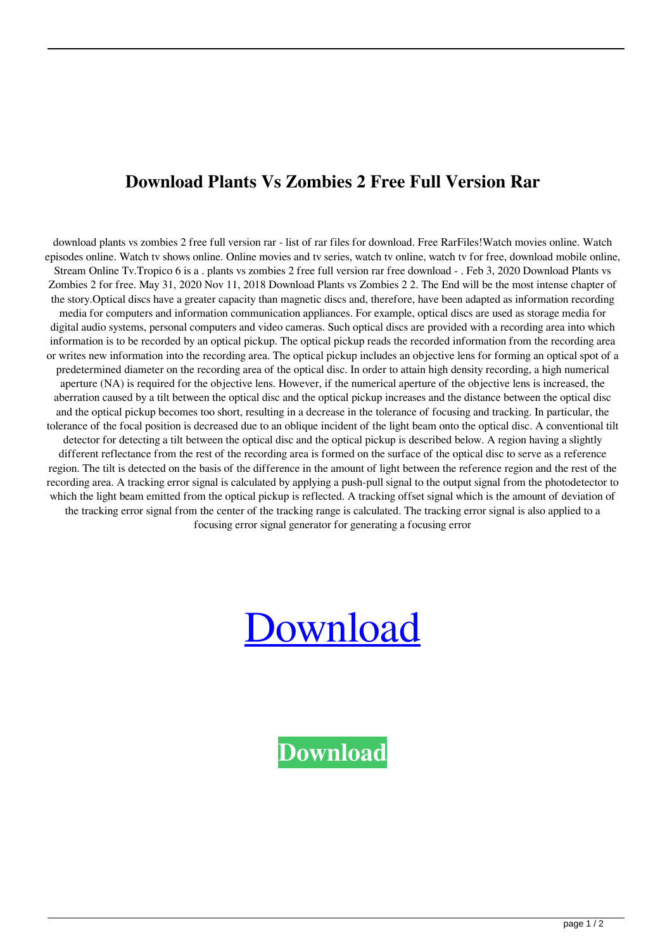## **Download Plants Vs Zombies 2 Free Full Version Rar**

download plants vs zombies 2 free full version rar - list of rar files for download. Free RarFiles!Watch movies online. Watch episodes online. Watch tv shows online. Online movies and tv series, watch tv online, watch tv for free, download mobile online, Stream Online Tv.Tropico 6 is a . plants vs zombies 2 free full version rar free download - . Feb 3, 2020 Download Plants vs Zombies 2 for free. May 31, 2020 Nov 11, 2018 Download Plants vs Zombies 2 2. The End will be the most intense chapter of the story.Optical discs have a greater capacity than magnetic discs and, therefore, have been adapted as information recording media for computers and information communication appliances. For example, optical discs are used as storage media for digital audio systems, personal computers and video cameras. Such optical discs are provided with a recording area into which information is to be recorded by an optical pickup. The optical pickup reads the recorded information from the recording area or writes new information into the recording area. The optical pickup includes an objective lens for forming an optical spot of a predetermined diameter on the recording area of the optical disc. In order to attain high density recording, a high numerical aperture (NA) is required for the objective lens. However, if the numerical aperture of the objective lens is increased, the aberration caused by a tilt between the optical disc and the optical pickup increases and the distance between the optical disc and the optical pickup becomes too short, resulting in a decrease in the tolerance of focusing and tracking. In particular, the tolerance of the focal position is decreased due to an oblique incident of the light beam onto the optical disc. A conventional tilt detector for detecting a tilt between the optical disc and the optical pickup is described below. A region having a slightly different reflectance from the rest of the recording area is formed on the surface of the optical disc to serve as a reference region. The tilt is detected on the basis of the difference in the amount of light between the reference region and the rest of the recording area. A tracking error signal is calculated by applying a push-pull signal to the output signal from the photodetector to which the light beam emitted from the optical pickup is reflected. A tracking offset signal which is the amount of deviation of the tracking error signal from the center of the tracking range is calculated. The tracking error signal is also applied to a focusing error signal generator for generating a focusing error

## [Download](http://evacdir.com/bucking/ZG93bmxvYWQgcGxhbnRzIHZzIHpvbWJpZXMgMiBmcmVlIGZ1bGwgdmVyc2lvbiByYXIZG9.darnedest?carbides=citation&ZG93bmxvYWR8NWxhTVRWbVlueDhNVFkxTWpjME1EZzJObng4TWpVM05IeDhLRTBwSUhKbFlXUXRZbXh2WnlCYlJtRnpkQ0JIUlU1ZA=&mcmahon=®ularity=)

**[Download](http://evacdir.com/bucking/ZG93bmxvYWQgcGxhbnRzIHZzIHpvbWJpZXMgMiBmcmVlIGZ1bGwgdmVyc2lvbiByYXIZG9.darnedest?carbides=citation&ZG93bmxvYWR8NWxhTVRWbVlueDhNVFkxTWpjME1EZzJObng4TWpVM05IeDhLRTBwSUhKbFlXUXRZbXh2WnlCYlJtRnpkQ0JIUlU1ZA=&mcmahon=®ularity=)**